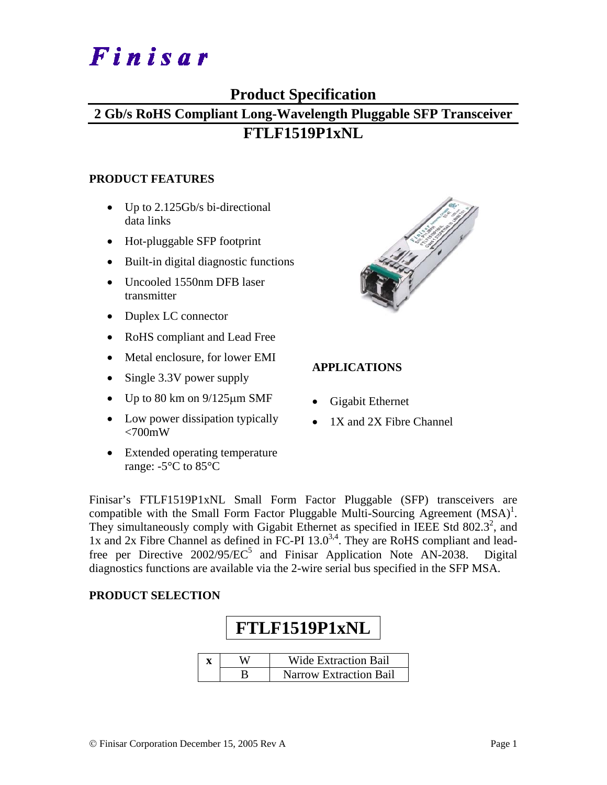# Finisar

### **Product Specification**

# **2 Gb/s RoHS Compliant Long-Wavelength Pluggable SFP Transceiver FTLF1519P1xNL**

#### **PRODUCT FEATURES**

- Up to 2.125Gb/s bi-directional data links
- Hot-pluggable SFP footprint
- Built-in digital diagnostic functions
- Uncooled 1550nm DFB laser transmitter
- Duplex LC connector
- RoHS compliant and Lead Free
- Metal enclosure, for lower EMI
- Single 3.3V power supply
- Up to  $80 \text{ km}$  on  $9/125 \mu \text{m}$  SMF
- Low power dissipation typically  $<700$ mW
- Extended operating temperature range: -5°C to 85°C



#### **APPLICATIONS**

- Gigabit Ethernet
- 1X and 2X Fibre Channel

Finisar's FTLF1519P1xNL Small Form Factor Pluggable (SFP) transceivers are compatible with the Small Form Factor Pluggable Multi-Sourcing Agreement  $(MSA)^{1}$ . They simultaneously comply with Gigabit Ethernet as specified in IEEE Std  $802.3^2$ , and 1x and 2x Fibre Channel as defined in FC-PI  $13.0^{3,4}$ . They are RoHS compliant and leadfree per Directive  $2002/95/EC^5$  and Finisar Application Note AN-2038. Digital diagnostics functions are available via the 2-wire serial bus specified in the SFP MSA.

#### **PRODUCT SELECTION**

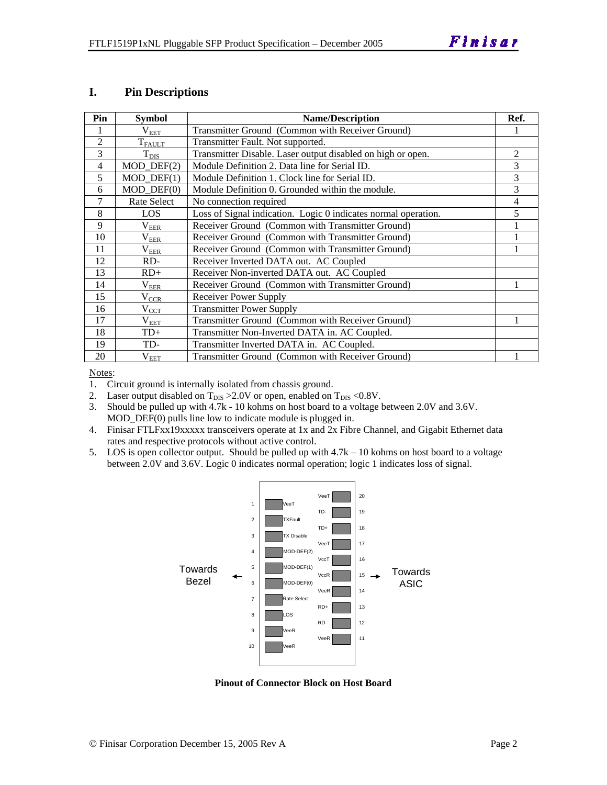#### **I. Pin Descriptions**

| Pin            | <b>Symbol</b>               | <b>Name/Description</b>                                        | Ref. |
|----------------|-----------------------------|----------------------------------------------------------------|------|
|                | $\rm V_{EET}$               | Transmitter Ground (Common with Receiver Ground)               |      |
| $\overline{2}$ | $T_{FAULT}$                 | Transmitter Fault. Not supported.                              |      |
| 3              | $T_{\rm DIS}$               | Transmitter Disable. Laser output disabled on high or open.    | 2    |
| 4              | $MOD_$ DEF(2)               | Module Definition 2. Data line for Serial ID.                  | 3    |
| 5              | $MOD_$ <del>DEF</del> $(1)$ | Module Definition 1. Clock line for Serial ID.                 | 3    |
| 6              | $MOD_$ DEF $(0)$            | Module Definition 0. Grounded within the module.               | 3    |
| 7              | Rate Select                 | No connection required                                         | 4    |
| 8              | LOS                         | Loss of Signal indication. Logic 0 indicates normal operation. | 5    |
| 9              | $\rm V_{EER}$               | Receiver Ground (Common with Transmitter Ground)               |      |
| 10             | $\rm V_{EER}$               | Receiver Ground (Common with Transmitter Ground)               |      |
| 11             | $\rm V_{EER}$               | Receiver Ground (Common with Transmitter Ground)               |      |
| 12             | RD-                         | Receiver Inverted DATA out. AC Coupled                         |      |
| 13             | $RD+$                       | Receiver Non-inverted DATA out. AC Coupled                     |      |
| 14             | $\rm V_{EER}$               | Receiver Ground (Common with Transmitter Ground)               |      |
| 15             | $\rm V_{CCR}$               | <b>Receiver Power Supply</b>                                   |      |
| 16             | $\rm V_{CCT}$               | <b>Transmitter Power Supply</b>                                |      |
| 17             | $\rm V_{EET}$               | Transmitter Ground (Common with Receiver Ground)               |      |
| 18             | $TD+$                       | Transmitter Non-Inverted DATA in. AC Coupled.                  |      |
| 19             | TD-                         | Transmitter Inverted DATA in. AC Coupled.                      |      |
| 20             | $\rm V_{EET}$               | Transmitter Ground (Common with Receiver Ground)               |      |

Notes:

1. Circuit ground is internally isolated from chassis ground.

2. Laser output disabled on  $T_{DIS} > 2.0V$  or open, enabled on  $T_{DIS} < 0.8V$ .

3. Should be pulled up with 4.7k - 10 kohms on host board to a voltage between 2.0V and 3.6V. MOD\_DEF(0) pulls line low to indicate module is plugged in.

- 4. Finisar FTLFxx19xxxxx transceivers operate at 1x and 2x Fibre Channel, and Gigabit Ethernet data rates and respective protocols without active control.
- 5. LOS is open collector output. Should be pulled up with 4.7k 10 kohms on host board to a voltage between 2.0V and 3.6V. Logic 0 indicates normal operation; logic 1 indicates loss of signal.



**Pinout of Connector Block on Host Board**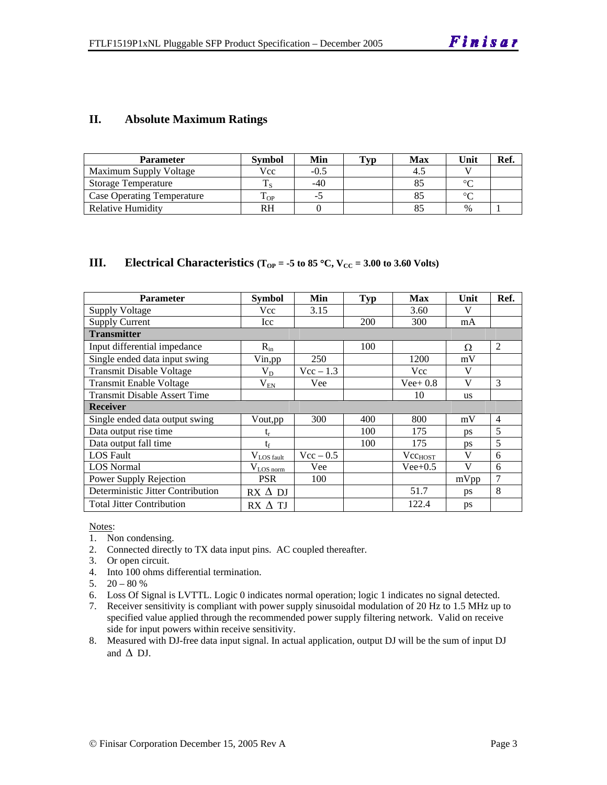#### **II. Absolute Maximum Ratings**

| <b>Parameter</b>                  | <b>Symbol</b> | Min    | <b>Typ</b> | Max | Unit          | Ref. |
|-----------------------------------|---------------|--------|------------|-----|---------------|------|
| Maximum Supply Voltage            | Vcc           | $-0.5$ |            |     |               |      |
| <b>Storage Temperature</b>        |               | $-40$  |            |     | $\circ$       |      |
| <b>Case Operating Temperature</b> | m<br>L OP.    |        |            |     | $\sim$        |      |
| Relative Humidity                 | RH            |        |            |     | $\frac{0}{0}$ |      |

#### **III.** Electrical Characteristics ( $T_{OP} = -5$  to 85 °C,  $V_{CC} = 3.00$  to 3.60 Volts)

| <b>Parameter</b>                    | <b>Symbol</b>   | Min         | <b>Typ</b> | <b>Max</b>                  | Unit      | Ref.           |
|-------------------------------------|-----------------|-------------|------------|-----------------------------|-----------|----------------|
| Supply Voltage                      | Vcc             | 3.15        |            | 3.60                        | V         |                |
| <b>Supply Current</b>               | Icc             |             | 200        | 300                         | mA        |                |
| <b>Transmitter</b>                  |                 |             |            |                             |           |                |
| Input differential impedance        | $R_{in}$        |             | 100        |                             | Ω         | 2              |
| Single ended data input swing       | Vin, pp         | 250         |            | 1200                        | mV        |                |
| <b>Transmit Disable Voltage</b>     | $V_D$           | $Vec - 1.3$ |            | Vcc                         | V         |                |
| <b>Transmit Enable Voltage</b>      | $V_{EN}$        | Vee         |            | $Vee+0.8$                   | V         | 3              |
| <b>Transmit Disable Assert Time</b> |                 |             |            | 10                          | <b>us</b> |                |
| <b>Receiver</b>                     |                 |             |            |                             |           |                |
| Single ended data output swing      | Vout, pp        | 300         | 400        | 800                         | mV        | $\overline{4}$ |
| Data output rise time               | t,              |             | 100        | 175                         | <b>ps</b> | 5              |
| Data output fall time               | $t_{\rm f}$     |             | 100        | 175                         | <b>ps</b> | 5              |
| <b>LOS Fault</b>                    | $V_{LOS fault}$ | $Vec - 0.5$ |            | <b>V</b> cc <sub>HOST</sub> | V         | 6              |
| <b>LOS</b> Normal                   | $V_{LOS\,norm}$ | Vee         |            | $Vee+0.5$                   | V         | 6              |
| Power Supply Rejection              | <b>PSR</b>      | 100         |            |                             | mVpp      | $\overline{7}$ |
| Deterministic Jitter Contribution   | $RX \Delta DI$  |             |            | 51.7                        | ps        | 8              |
| <b>Total Jitter Contribution</b>    | $RX \wedge TI$  |             |            | 122.4                       | ps        |                |

Notes:

- 1. Non condensing.
- 2. Connected directly to TX data input pins. AC coupled thereafter.
- 3. Or open circuit.
- 4. Into 100 ohms differential termination.
- 5.  $20 80 %$
- 6. Loss Of Signal is LVTTL. Logic 0 indicates normal operation; logic 1 indicates no signal detected.
- 7. Receiver sensitivity is compliant with power supply sinusoidal modulation of 20 Hz to 1.5 MHz up to specified value applied through the recommended power supply filtering network. Valid on receive side for input powers within receive sensitivity.
- 8. Measured with DJ-free data input signal. In actual application, output DJ will be the sum of input DJ and  $\Delta$  DJ.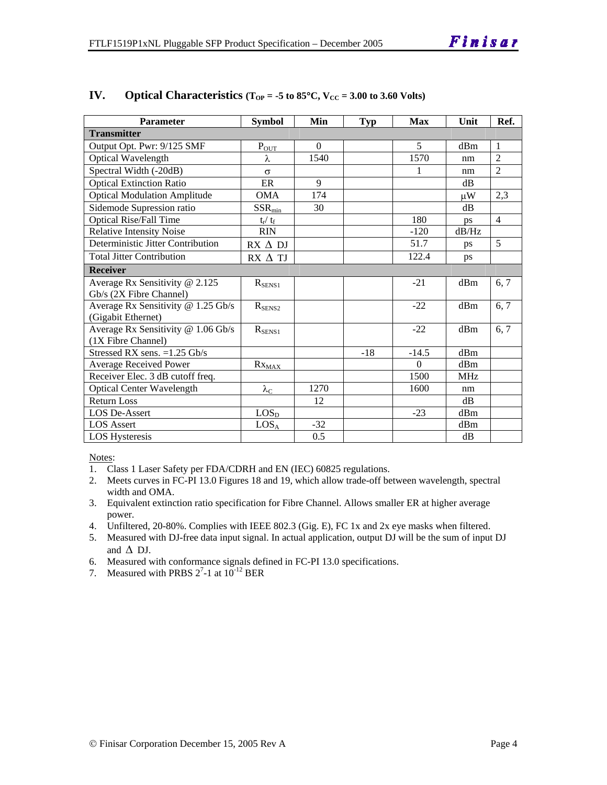| <b>Parameter</b>                    | <b>Symbol</b>           | Min      | <b>Typ</b> | <b>Max</b> | Unit       | Ref.           |
|-------------------------------------|-------------------------|----------|------------|------------|------------|----------------|
| <b>Transmitter</b>                  |                         |          |            |            |            |                |
| Output Opt. Pwr: 9/125 SMF          | $P_{OUT}$               | $\Omega$ |            | 5          | dBm        | $\mathbf{1}$   |
| Optical Wavelength                  | λ                       | 1540     |            | 1570       | nm         | $\overline{2}$ |
| Spectral Width (-20dB)              | $\sigma$                |          |            | 1          | nm         | $\overline{2}$ |
| <b>Optical Extinction Ratio</b>     | ER                      | 9        |            |            | dB         |                |
| <b>Optical Modulation Amplitude</b> | <b>OMA</b>              | 174      |            |            | μW         | 2,3            |
| Sidemode Supression ratio           | $SSR_{min}$             | 30       |            |            | dB         |                |
| <b>Optical Rise/Fall Time</b>       | $t_{\rm r} / t_{\rm f}$ |          |            | 180        | ps         | $\overline{4}$ |
| <b>Relative Intensity Noise</b>     | <b>RIN</b>              |          |            | $-120$     | dB/Hz      |                |
| Deterministic Jitter Contribution   | $RX \Delta DI$          |          |            | 51.7       | ps         | $\overline{5}$ |
| <b>Total Jitter Contribution</b>    | RX A TJ                 |          |            | 122.4      | ps         |                |
| <b>Receiver</b>                     |                         |          |            |            |            |                |
| Average Rx Sensitivity @ 2.125      | $R_{SENS1}$             |          |            | $-21$      | dBm        | 6, 7           |
| Gb/s (2X Fibre Channel)             |                         |          |            |            |            |                |
| Average Rx Sensitivity @ 1.25 Gb/s  | $R_{\text{SENS2}}$      |          |            | $-22$      | dBm        | 6, 7           |
| (Gigabit Ethernet)                  |                         |          |            |            |            |                |
| Average Rx Sensitivity @ 1.06 Gb/s  | $R_{SENS1}$             |          |            | $-22$      | dBm        | 6, 7           |
| (1X Fibre Channel)                  |                         |          |            |            |            |                |
| Stressed RX sens. = 1.25 Gb/s       |                         |          | $-18$      | $-14.5$    | dBm        |                |
| <b>Average Received Power</b>       | $Rx_{MAX}$              |          |            | $\Omega$   | dBm        |                |
| Receiver Elec. 3 dB cutoff freq.    |                         |          |            | 1500       | <b>MHz</b> |                |
| <b>Optical Center Wavelength</b>    | $\lambda_{\rm C}$       | 1270     |            | 1600       | nm         |                |
| <b>Return Loss</b>                  |                         | 12       |            |            | dB         |                |
| <b>LOS De-Assert</b>                | LOS <sub>D</sub>        |          |            | $-23$      | dBm        |                |
| <b>LOS Assert</b>                   | LOS <sub>A</sub>        | $-32$    |            |            | dBm        |                |
| LOS Hysteresis                      |                         | 0.5      |            |            | dB         |                |

#### **IV.** Optical Characteristics ( $T_{OP} = -5$  to 85°C,  $V_{CC} = 3.00$  to 3.60 Volts)

Notes:

- 1. Class 1 Laser Safety per FDA/CDRH and EN (IEC) 60825 regulations.
- 2. Meets curves in FC-PI 13.0 Figures 18 and 19, which allow trade-off between wavelength, spectral width and OMA.
- 3. Equivalent extinction ratio specification for Fibre Channel. Allows smaller ER at higher average power.
- 4. Unfiltered, 20-80%. Complies with IEEE 802.3 (Gig. E), FC 1x and 2x eye masks when filtered.
- 5. Measured with DJ-free data input signal. In actual application, output DJ will be the sum of input DJ and  $\Delta$  DJ.
- 6. Measured with conformance signals defined in FC-PI 13.0 specifications.
- 7. Measured with PRBS  $2^7$ -1 at  $10^{-12}$  BER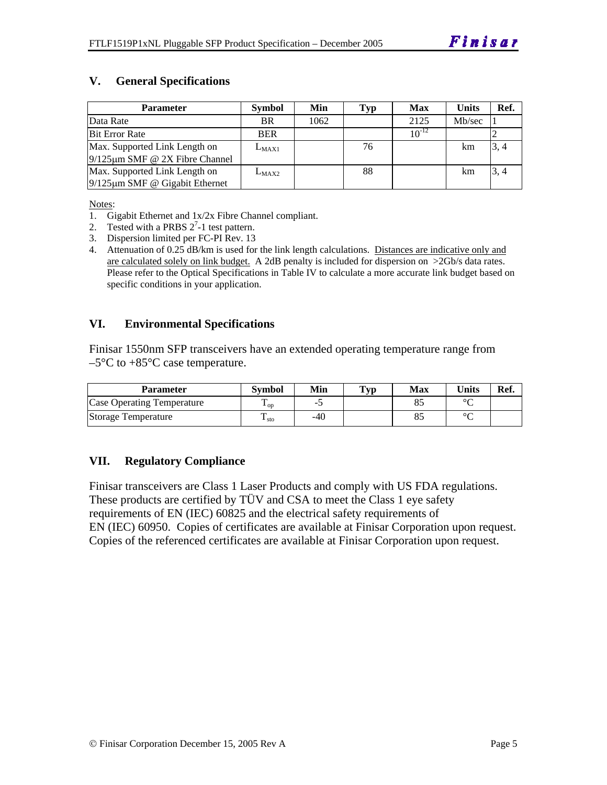#### **V. General Specifications**

| <b>Parameter</b>                     | <b>Symbol</b> | Min  | Typ | Max        | Units  | Ref. |
|--------------------------------------|---------------|------|-----|------------|--------|------|
| Data Rate                            | BR.           | 1062 |     | 2125       | Mb/sec |      |
| <b>Bit Error Rate</b>                | <b>BER</b>    |      |     | $10^{-12}$ |        |      |
| Max. Supported Link Length on        | $L_{MAX1}$    |      | 76  |            | km     | 3, 4 |
| $9/125 \mu m$ SMF @ 2X Fibre Channel |               |      |     |            |        |      |
| Max. Supported Link Length on        | $L_{MAX2}$    |      | 88  |            | km     | 3, 4 |
| $9/125 \mu m$ SMF @ Gigabit Ethernet |               |      |     |            |        |      |

Notes:

- 1. Gigabit Ethernet and 1x/2x Fibre Channel compliant.
- 2. Tested with a PRBS  $2^7$ -1 test pattern.
- 3. Dispersion limited per FC-PI Rev. 13
- 4. Attenuation of 0.25 dB/km is used for the link length calculations. Distances are indicative only and are calculated solely on link budget. A 2dB penalty is included for dispersion on >2Gb/s data rates. Please refer to the Optical Specifications in Table IV to calculate a more accurate link budget based on specific conditions in your application.

#### **VI. Environmental Specifications**

Finisar 1550nm SFP transceivers have an extended operating temperature range from  $-5^{\circ}$ C to  $+85^{\circ}$ C case temperature.

| Parameter                         | Svmbol                 | Min   | $\mathbf{Typ}$ | Max | Units   | Ref. |
|-----------------------------------|------------------------|-------|----------------|-----|---------|------|
| <b>Case Operating Temperature</b> | m<br>$\mathbf{L}_{OD}$ | -     |                | 85  | $\circ$ |      |
| Storage Temperature               | ᠇᠇<br>$\pm$ sto        | $-40$ |                | 85  | $\circ$ |      |

#### **VII. Regulatory Compliance**

Finisar transceivers are Class 1 Laser Products and comply with US FDA regulations. These products are certified by TÜV and CSA to meet the Class 1 eye safety requirements of EN (IEC) 60825 and the electrical safety requirements of EN (IEC) 60950. Copies of certificates are available at Finisar Corporation upon request. Copies of the referenced certificates are available at Finisar Corporation upon request.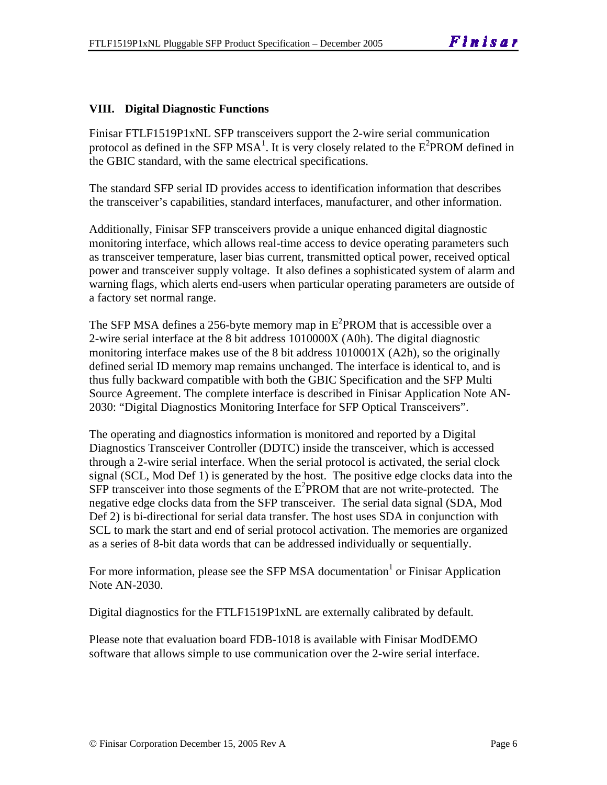#### **VIII. Digital Diagnostic Functions**

Finisar FTLF1519P1xNL SFP transceivers support the 2-wire serial communication protocol as defined in the SFP MSA<sup>1</sup>. It is very closely related to the  $E^2$ PROM defined in the GBIC standard, with the same electrical specifications.

The standard SFP serial ID provides access to identification information that describes the transceiver's capabilities, standard interfaces, manufacturer, and other information.

Additionally, Finisar SFP transceivers provide a unique enhanced digital diagnostic monitoring interface, which allows real-time access to device operating parameters such as transceiver temperature, laser bias current, transmitted optical power, received optical power and transceiver supply voltage. It also defines a sophisticated system of alarm and warning flags, which alerts end-users when particular operating parameters are outside of a factory set normal range.

The SFP MSA defines a 256-byte memory map in  $E^2$ PROM that is accessible over a 2-wire serial interface at the 8 bit address 1010000X (A0h). The digital diagnostic monitoring interface makes use of the 8 bit address 1010001X (A2h), so the originally defined serial ID memory map remains unchanged. The interface is identical to, and is thus fully backward compatible with both the GBIC Specification and the SFP Multi Source Agreement. The complete interface is described in Finisar Application Note AN-2030: "Digital Diagnostics Monitoring Interface for SFP Optical Transceivers".

The operating and diagnostics information is monitored and reported by a Digital Diagnostics Transceiver Controller (DDTC) inside the transceiver, which is accessed through a 2-wire serial interface. When the serial protocol is activated, the serial clock signal (SCL, Mod Def 1) is generated by the host. The positive edge clocks data into the  $SFP$  transceiver into those segments of the  $E^2$ PROM that are not write-protected. The negative edge clocks data from the SFP transceiver. The serial data signal (SDA, Mod Def 2) is bi-directional for serial data transfer. The host uses SDA in conjunction with SCL to mark the start and end of serial protocol activation. The memories are organized as a series of 8-bit data words that can be addressed individually or sequentially.

For more information, please see the SFP MSA documentation  $\sigma$  or Finisar Application Note AN-2030.

Digital diagnostics for the FTLF1519P1xNL are externally calibrated by default.

Please note that evaluation board FDB-1018 is available with Finisar ModDEMO software that allows simple to use communication over the 2-wire serial interface.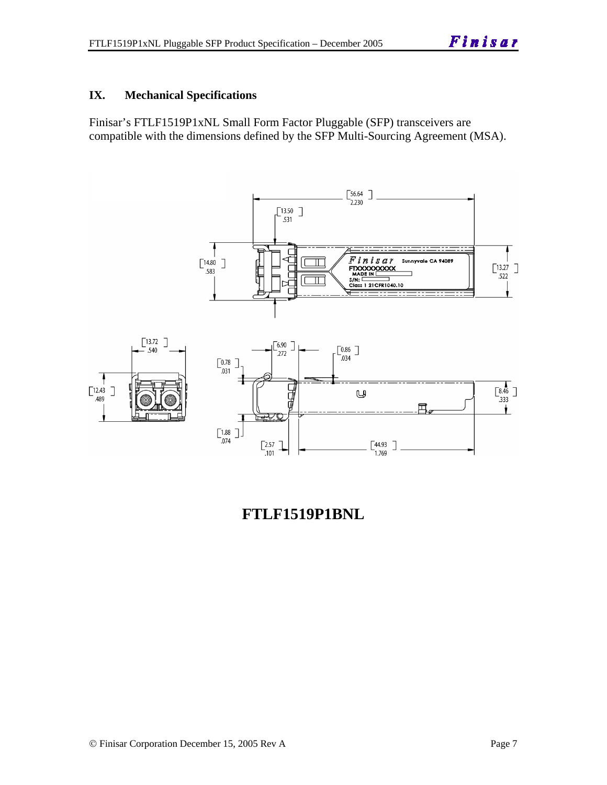#### **IX. Mechanical Specifications**

Finisar's FTLF1519P1xNL Small Form Factor Pluggable (SFP) transceivers are compatible with the dimensions defined by the SFP Multi-Sourcing Agreement (MSA).



# **FTLF1519P1BNL**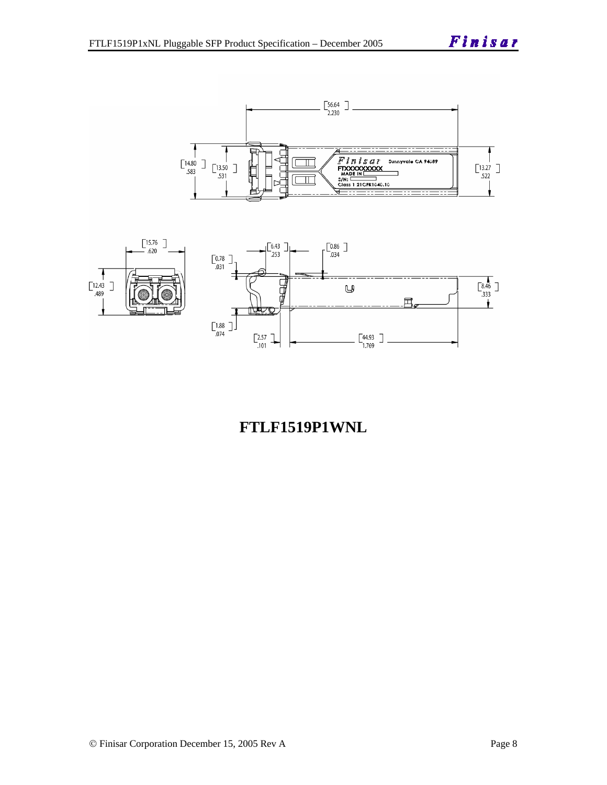

# **FTLF1519P1WNL**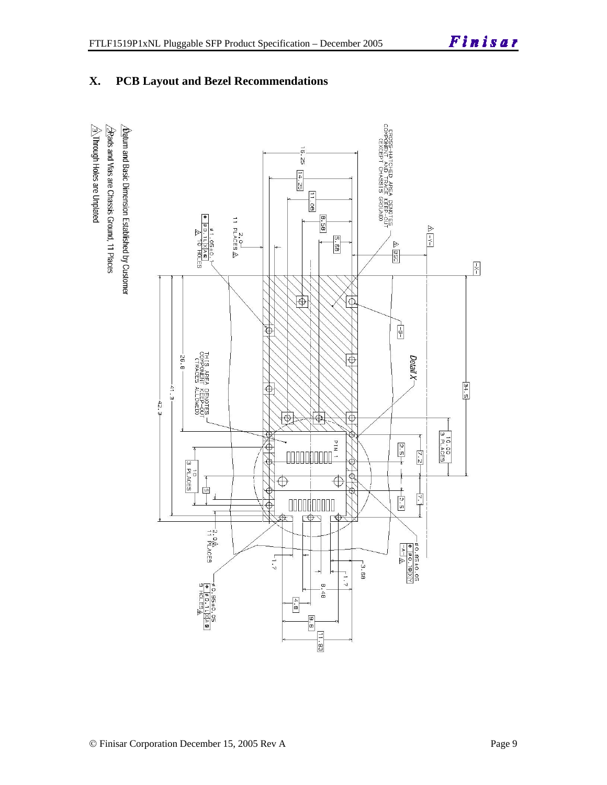**X. PCB Layout and Bezel Recommendations** 

# $\hat{\triangle}$ Through Holes are Unplated  $\sqrt{2}$ Rads and Vias are Chassis Ground, 11 Places  $\Delta$ atum and Basic Dimension Established by Customer

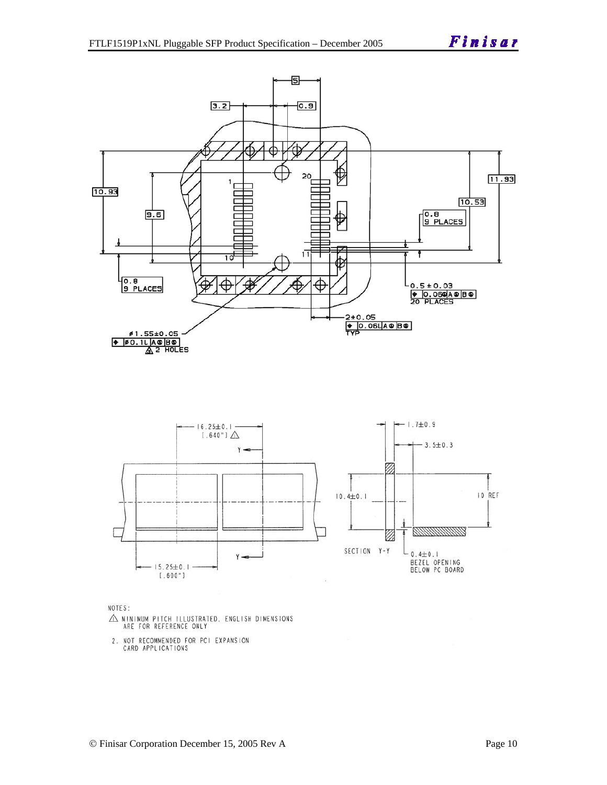



NOTES:

- $\triangle$  MINIMUM PITCH ILLUSTRATED, ENGLISH DIMENSIONS ARE FOR REFERENCE ONLY
- 2. NOT RECOMMENDED FOR PCI EXPANSION<br>CARD APPLICATIONS